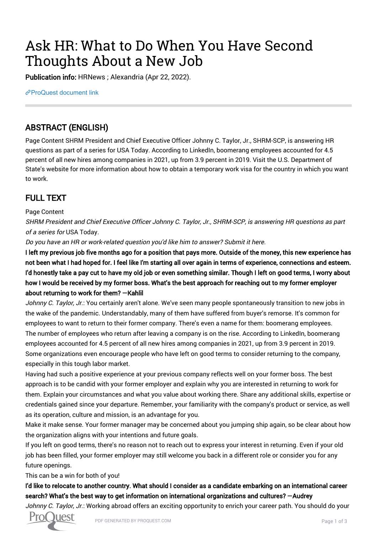# Ask HR: What to Do When You Have Second Thoughts About a New Job

Publication info: HRNews ; Alexandria (Apr 22, 2022).

[ProQuest document link](https://www.proquest.com/trade-journals/ask-hr-what-do-when-you-have-second-thoughts/docview/2653558975/se-2?accountid=44910)

# ABSTRACT (ENGLISH)

Page Content SHRM President and Chief Executive Officer Johnny C. Taylor, Jr., SHRM-SCP, is answering HR questions as part of a series for USA Today. According to LinkedIn, boomerang employees accounted for 4.5 percent of all new hires among companies in 2021, up from 3.9 percent in 2019. Visit the U.S. Department of State's website for more information about how to obtain a temporary work visa for the country in which you want to work.

## FULL TEXT

#### Page Content

SHRM President and Chief Executive Officer Johnny C. Taylor, Jr., SHRM-SCP, is answering HR questions as part of a series for USA Today.

Do you have an HR or work-related question you'd like him to answer? Submit it here.

I left my previous job five months ago for a position that pays more. Outside of the money, this new experience has not been what I had hoped for. I feel like I'm starting all over again in terms of experience, connections and esteem. I'd honestly take a pay cut to have my old job or even something similar. Though I left on good terms, I worry about how I would be received by my former boss. What's the best approach for reaching out to my former employer about returning to work for them? —Kahlil

Johnny C. Taylor, Jr.: You certainly aren't alone. We've seen many people spontaneously transition to new jobs in the wake of the pandemic. Understandably, many of them have suffered from buyer's remorse. It's common for employees to want to return to their former company. There's even a name for them: boomerang employees. The number of employees who return after leaving a company is on the rise. According to LinkedIn, boomerang employees accounted for 4.5 percent of all new hires among companies in 2021, up from 3.9 percent in 2019. Some organizations even encourage people who have left on good terms to consider returning to the company, especially in this tough labor market.

Having had such a positive experience at your previous company reflects well on your former boss. The best approach is to be candid with your former employer and explain why you are interested in returning to work for them. Explain your circumstances and what you value about working there. Share any additional skills, expertise or credentials gained since your departure. Remember, your familiarity with the company's product or service, as well as its operation, culture and mission, is an advantage for you.

Make it make sense. Your former manager may be concerned about you jumping ship again, so be clear about how the organization aligns with your intentions and future goals.

If you left on good terms, there's no reason not to reach out to express your interest in returning. Even if your old job has been filled, your former employer may still welcome you back in a different role or consider you for any future openings.

#### This can be a win for both of you!

### I'd like to relocate to another country. What should I consider as a candidate embarking on an international career search? What's the best way to get information on international organizations and cultures? —Audrey

Johnny C. Taylor, Jr.: Working abroad offers an exciting opportunity to enrich your career path. You should do your

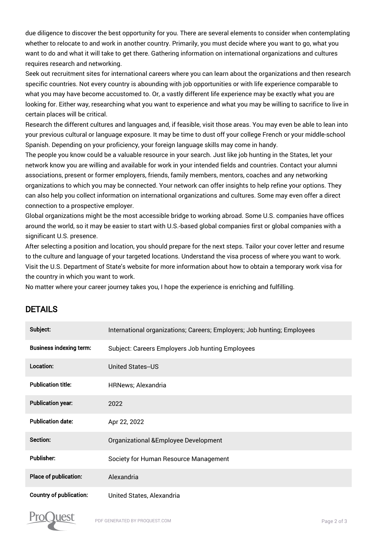due diligence to discover the best opportunity for you. There are several elements to consider when contemplating whether to relocate to and work in another country. Primarily, you must decide where you want to go, what you want to do and what it will take to get there. Gathering information on international organizations and cultures requires research and networking.

Seek out recruitment sites for international careers where you can learn about the organizations and then research specific countries. Not every country is abounding with job opportunities or with life experience comparable to what you may have become accustomed to. Or, a vastly different life experience may be exactly what you are looking for. Either way, researching what you want to experience and what you may be willing to sacrifice to live in certain places will be critical.

Research the different cultures and languages and, if feasible, visit those areas. You may even be able to lean into your previous cultural or language exposure. It may be time to dust off your college French or your middle-school Spanish. Depending on your proficiency, your foreign language skills may come in handy.

The people you know could be a valuable resource in your search. Just like job hunting in the States, let your network know you are willing and available for work in your intended fields and countries. Contact your alumni associations, present or former employers, friends, family members, mentors, coaches and any networking organizations to which you may be connected. Your network can offer insights to help refine your options. They can also help you collect information on international organizations and cultures. Some may even offer a direct connection to a prospective employer.

Global organizations might be the most accessible bridge to working abroad. Some U.S. companies have offices around the world, so it may be easier to start with U.S.-based global companies first or global companies with a significant U.S. presence.

After selecting a position and location, you should prepare for the next steps. Tailor your cover letter and resume to the culture and language of your targeted locations. Understand the visa process of where you want to work. Visit the U.S. Department of State's website for more information about how to obtain a temporary work visa for the country in which you want to work.

No matter where your career journey takes you, I hope the experience is enriching and fulfilling.

## DETAILS

| Subject:                       | International organizations; Careers; Employers; Job hunting; Employees |
|--------------------------------|-------------------------------------------------------------------------|
| <b>Business indexing term:</b> | Subject: Careers Employers Job hunting Employees                        |
| Location:                      | United States-US                                                        |
| <b>Publication title:</b>      | <b>HRNews</b> ; Alexandria                                              |
| <b>Publication year:</b>       | 2022                                                                    |
| <b>Publication date:</b>       | Apr 22, 2022                                                            |
| Section:                       | Organizational & Employee Development                                   |
| <b>Publisher:</b>              | Society for Human Resource Management                                   |
| Place of publication:          | Alexandria                                                              |
| <b>Country of publication:</b> | United States, Alexandria                                               |